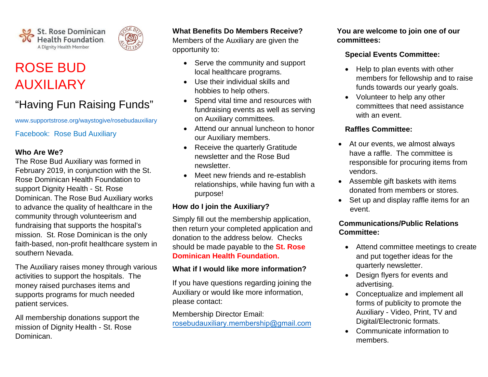



# "Having Fun Raising Funds"

[www.supportstrose.org/waystogive/rosebudauxiliary](http://www.supportstrose.org/waystogive/rosebudauxiliary)

Facebook: Rose Bud Auxiliary

#### **Who Are We?**

The Rose Bud Auxiliary was formed in February 2019, in conjunction with the St. Rose Dominican Health Foundation to support Dignity Health - St. Rose Dominican. The Rose Bud Auxiliary works to advance the quality of healthcare in the community through volunteerism and fundraising that supports the hospital's mission. St. Rose Dominican is the only faith-based, non-profit healthcare system in southern Nevada.

The Auxiliary raises money through various activities to support the hospitals. The money raised purchases items and supports programs for much needed patient services.

All membership donations support the mission of Dignity Health - St. Rose Dominican.

### **What Benefits Do Members Receive?**

Members of the Auxiliary are given the opportunity to:

- Serve the community and support local healthcare programs.
- Use their individual skills and hobbies to help others.
- Spend vital time and resources with fundraising events as well as serving on Auxiliary committees.
- Attend our annual luncheon to honor our Auxiliary members.
- Receive the quarterly Gratitude newsletter and the Rose Bud newsletter.
- Meet new friends and re-establish relationships, while having fun with a purpose!

## **How do I join the Auxiliary?**

Simply fill out the membership application, then return your completed application and donation to the address below. Checks should be made payable to the **St. Rose Dominican Health Foundation.** 

#### **What if I would like more information?**

If you have questions regarding joining the Auxiliary or would like more information, please contact:

Membership Director Email: roseb[udauxiliary.membership@gmail.com](mailto:rba.membershipdirector@gmail.com) **You are welcome to join one of our committees:**

#### **Special Events Committee:**

- Help to plan events with other members for fellowship and to raise funds towards our yearly goals.
- Volunteer to help any other committees that need assistance with an event.

#### **Raffles Committee:**

- At our events, we almost always have a raffle. The committee is responsible for procuring items from vendors.
- Assemble gift baskets with items donated from members or stores.
- Set up and display raffle items for an event.

### **Communications/Public Relations Committee:**

- Attend committee meetings to create and put together ideas for the quarterly newsletter.
- Design flyers for events and advertising.
- Conceptualize and implement all forms of publicity to promote the Auxiliary - Video, Print, TV and Digital/Electronic formats.
- Communicate information to members.